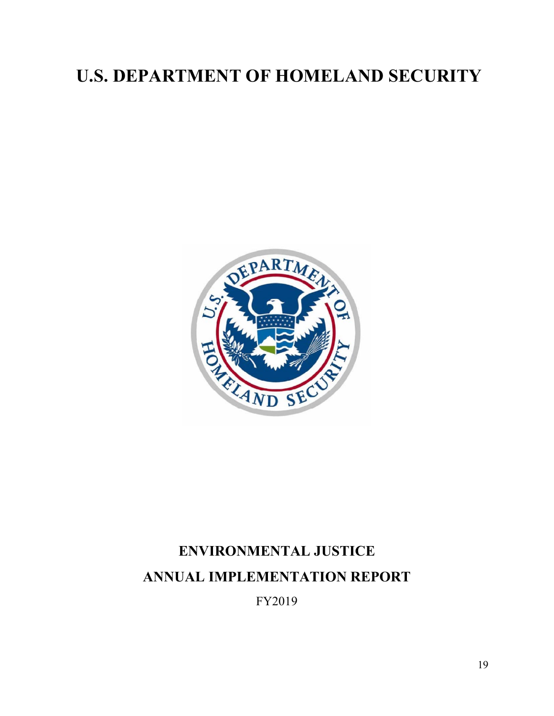## **U.S. DEPARTMENT OF HOMELAND SECURITY**



# **ENVIRONMENTAL JUSTICE ANNUAL IMPLEMENTATION REPORT**

FY2019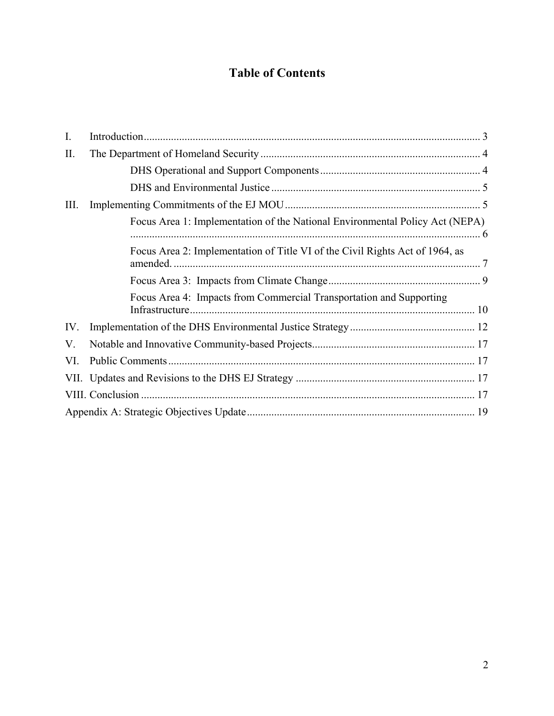## **Table of Contents**

| $\mathbf{I}$ . |                                                                              |  |  |  |  |
|----------------|------------------------------------------------------------------------------|--|--|--|--|
| П.             |                                                                              |  |  |  |  |
|                |                                                                              |  |  |  |  |
|                |                                                                              |  |  |  |  |
| Ш.             |                                                                              |  |  |  |  |
|                | Focus Area 1: Implementation of the National Environmental Policy Act (NEPA) |  |  |  |  |
|                | Focus Area 2: Implementation of Title VI of the Civil Rights Act of 1964, as |  |  |  |  |
|                |                                                                              |  |  |  |  |
|                | Focus Area 4: Impacts from Commercial Transportation and Supporting          |  |  |  |  |
| IV.            |                                                                              |  |  |  |  |
| V.             |                                                                              |  |  |  |  |
| VI.            |                                                                              |  |  |  |  |
|                |                                                                              |  |  |  |  |
|                |                                                                              |  |  |  |  |
|                |                                                                              |  |  |  |  |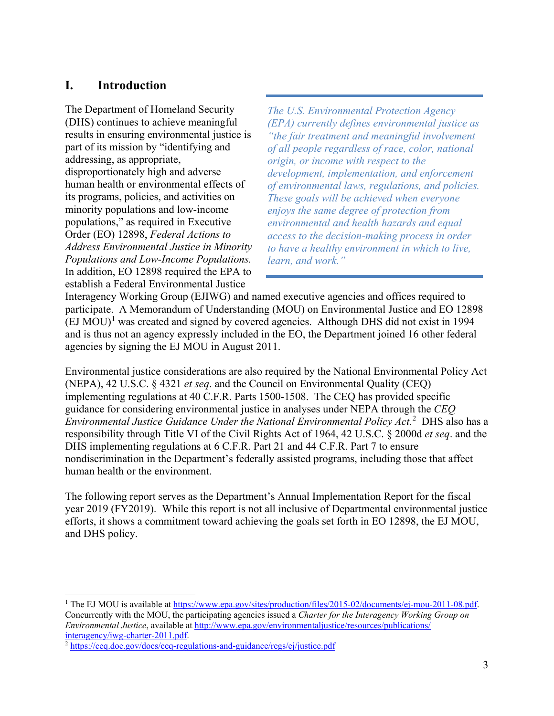## <span id="page-2-0"></span>**I. Introduction**

The Department of Homeland Security (DHS) continues to achieve meaningful results in ensuring environmental justice is part of its mission by "identifying and addressing, as appropriate, disproportionately high and adverse human health or environmental effects of its programs, policies, and activities on minority populations and low-income populations," as required in Executive Order (EO) 12898, *Federal Actions to Address Environmental Justice in Minority Populations and Low-Income Populations.*  In addition, EO 12898 required the EPA to establish a Federal Environmental Justice

*The U.S. Environmental Protection Agency (EPA) currently defines environmental justice as "the fair treatment and meaningful involvement of all people regardless of race, color, national origin, or income with respect to the development, implementation, and enforcement of environmental laws, regulations, and policies. These goals will be achieved when everyone enjoys the same degree of protection from environmental and health hazards and equal access to the decision-making process in order to have a healthy environment in which to live, learn, and work."* 

Interagency Working Group (EJIWG) and named executive agencies and offices required to participate. A Memorandum of Understanding (MOU) on Environmental Justice and EO 12898  $(EJ MOU)^1$  $(EJ MOU)^1$  was created and signed by covered agencies. Although DHS did not exist in 1994 and is thus not an agency expressly included in the EO, the Department joined 16 other federal agencies by signing the EJ MOU in August 2011.

Environmental justice considerations are also required by the National Environmental Policy Act (NEPA), 42 U.S.C. § 4321 *et seq*. and the Council on Environmental Quality (CEQ) implementing regulations at 40 C.F.R. Parts 1500-1508. The CEQ has provided specific guidance for considering environmental justice in analyses under NEPA through the *CEQ Environmental Justice Guidance Under the National Environmental Policy Act.*[2](#page-2-2) DHS also has a responsibility through Title VI of the Civil Rights Act of 1964, 42 U.S.C. § 2000d *et seq*. and the DHS implementing regulations at 6 C.F.R. Part 21 and 44 C.F.R. Part 7 to ensure nondiscrimination in the Department's federally assisted programs, including those that affect human health or the environment.

The following report serves as the Department's Annual Implementation Report for the fiscal year 2019 (FY2019). While this report is not all inclusive of Departmental environmental justice efforts, it shows a commitment toward achieving the goals set forth in EO 12898, the EJ MOU, and DHS policy.

 $\overline{a}$ 

<span id="page-2-1"></span><sup>&</sup>lt;sup>1</sup> The EJ MOU is available at https://www.epa.gov/sites/production/files/2015-02/documents/ej-mou-2011-08.pdf. Concurrently with the MOU, the participating agencies issued a *Charter for the Interagency Working Group on Environmental Justice*, available at [http://www.epa.gov/environmentaljustice/resources/publications/](http://www.epa.gov/environmentaljustice/resources/publications/interagency/iwg-charter-2011.pdf)<br>interagency/iwg-charter-2011.pdf.

<span id="page-2-2"></span><sup>&</sup>lt;sup>2</sup> https://ceq.doe.gov/docs/ceq-regulations-and-guidance/regs/ej/justice.pdf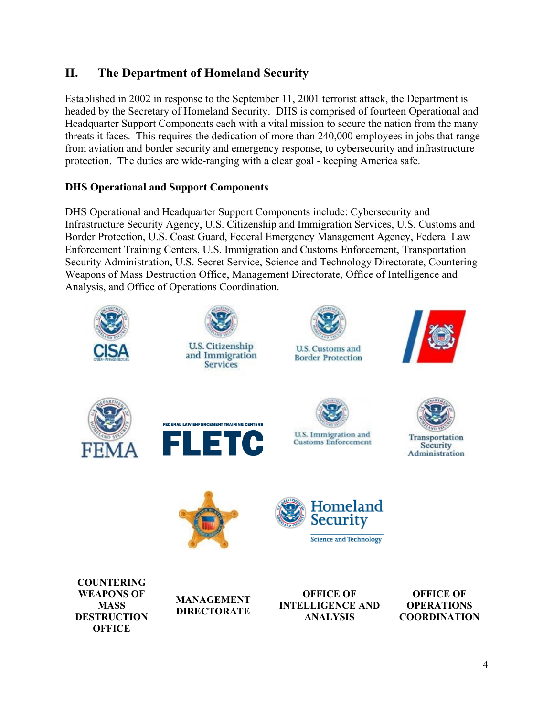## <span id="page-3-0"></span>**II. The Department of Homeland Security**

Established in 2002 in response to the September 11, 2001 terrorist attack, the Department is headed by the Secretary of Homeland Security. DHS is comprised of fourteen Operational and Headquarter Support Components each with a vital mission to secure the nation from the many threats it faces. This requires the dedication of more than 240,000 employees in jobs that range from aviation and border security and emergency response, to cybersecurity and infrastructure protection. The duties are wide-ranging with a clear goal - keeping America safe.

#### <span id="page-3-1"></span>**DHS Operational and Support Components**

DHS Operational and Headquarter Support Components include: Cybersecurity and Infrastructure Security Agency, U.S. Citizenship and Immigration Services, U.S. Customs and Border Protection, U.S. Coast Guard, Federal Emergency Management Agency, Federal Law Enforcement Training Centers, U.S. Immigration and Customs Enforcement, Transportation Security Administration, U.S. Secret Service, Science and Technology Directorate, Countering Weapons of Mass Destruction Office, Management Directorate, Office of Intelligence and Analysis, and Office of Operations Coordination.

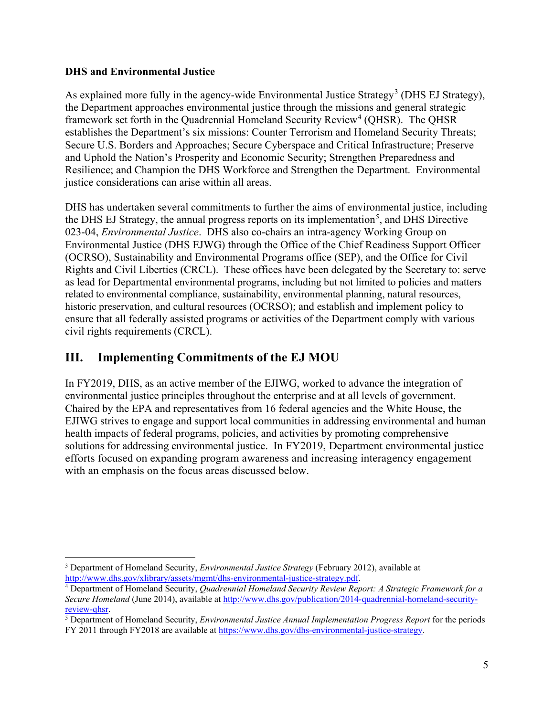#### <span id="page-4-0"></span>**DHS and Environmental Justice**

 $\overline{a}$ 

As explained more fully in the agency-wide Environmental Justice Strategy<sup>[3](#page-4-2)</sup> (DHS EJ Strategy), the Department approaches environmental justice through the missions and general strategic framework set forth in the Quadrennial Homeland Security Review<sup>[4](#page-4-3)</sup> (QHSR). The QHSR establishes the Department's six missions: Counter Terrorism and Homeland Security Threats; Secure U.S. Borders and Approaches; Secure Cyberspace and Critical Infrastructure; Preserve and Uphold the Nation's Prosperity and Economic Security; Strengthen Preparedness and Resilience; and Champion the DHS Workforce and Strengthen the Department. Environmental justice considerations can arise within all areas.

DHS has undertaken several commitments to further the aims of environmental justice, including the DHS EJ Strategy, the annual progress reports on its implementation<sup>[5](#page-4-4)</sup>, and DHS Directive 023-04, *Environmental Justice*. DHS also co-chairs an intra-agency Working Group on Environmental Justice (DHS EJWG) through the Office of the Chief Readiness Support Officer (OCRSO), Sustainability and Environmental Programs office (SEP), and the Office for Civil Rights and Civil Liberties (CRCL). These offices have been delegated by the Secretary to: serve as lead for Departmental environmental programs, including but not limited to policies and matters related to environmental compliance, sustainability, environmental planning, natural resources, historic preservation, and cultural resources (OCRSO); and establish and implement policy to ensure that all federally assisted programs or activities of the Department comply with various civil rights requirements (CRCL).

## <span id="page-4-1"></span>**III. Implementing Commitments of the EJ MOU**

In FY2019, DHS, as an active member of the EJIWG, worked to advance the integration of environmental justice principles throughout the enterprise and at all levels of government. Chaired by the EPA and representatives from 16 federal agencies and the White House, the EJIWG strives to engage and support local communities in addressing environmental and human health impacts of federal programs, policies, and activities by promoting comprehensive solutions for addressing environmental justice. In FY2019, Department environmental justice efforts focused on expanding program awareness and increasing interagency engagement with an emphasis on the focus areas discussed below.

<span id="page-4-2"></span><sup>3</sup> Department of Homeland Security, *Environmental Justice Strategy* (February 2012), available at [http://www.dhs.gov/xlibrary/assets/mgmt/dhs-environmental-justice-strategy.pdf.](http://www.dhs.gov/xlibrary/assets/mgmt/dhs-environmental-justice-strategy.pdf) 4 Department of Homeland Security, *Quadrennial Homeland Security Review Report: A Strategic Framework for a* 

<span id="page-4-3"></span>*Secure Homeland* (June 2014), available at [http://www.dhs.gov/publication/2014-quadrennial-homeland-security](http://www.dhs.gov/publication/2014-quadrennial-homeland-security-review-qhsr)[review-qhsr.](http://www.dhs.gov/publication/2014-quadrennial-homeland-security-review-qhsr) 5 Department of Homeland Security, *Environmental Justice Annual Implementation Progress Report* for the periods

<span id="page-4-4"></span>FY 2011 through FY2018 are available a[t https://www.dhs.gov/dhs-environmental-justice-strategy.](https://www.dhs.gov/dhs-environmental-justice-strategy)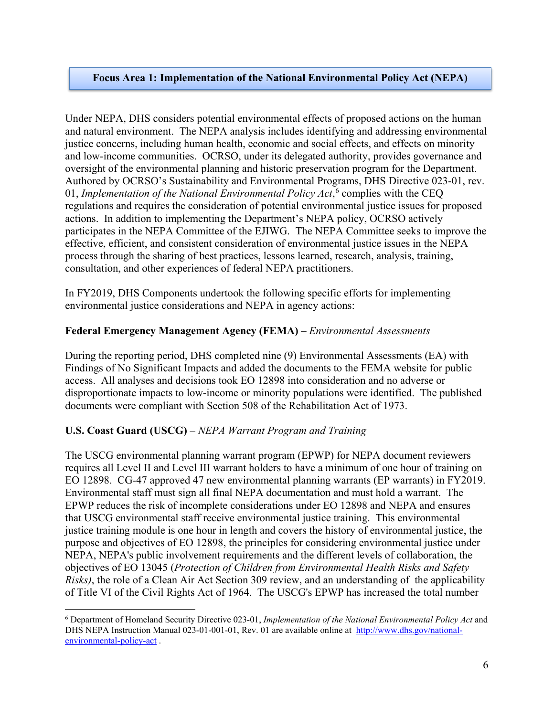#### **Focus Area 1: Implementation of the National Environmental Policy Act (NEPA)**

Under NEPA, DHS considers potential environmental effects of proposed actions on the human and natural environment. The NEPA analysis includes identifying and addressing environmental justice concerns, including human health, economic and social effects, and effects on minority and low-income communities. OCRSO, under its delegated authority, provides governance and oversight of the environmental planning and historic preservation program for the Department. Authored by OCRSO's Sustainability and Environmental Programs, DHS Directive 023-01, rev. 01, *Implementation of the National Environmental Policy Act*, [6](#page-5-0) complies with the CEQ regulations and requires the consideration of potential environmental justice issues for proposed actions. In addition to implementing the Department's NEPA policy, OCRSO actively participates in the NEPA Committee of the EJIWG. The NEPA Committee seeks to improve the effective, efficient, and consistent consideration of environmental justice issues in the NEPA process through the sharing of best practices, lessons learned, research, analysis, training, consultation, and other experiences of federal NEPA practitioners.

In FY2019, DHS Components undertook the following specific efforts for implementing environmental justice considerations and NEPA in agency actions:

#### **Federal Emergency Management Agency (FEMA)** – *Environmental Assessments*

During the reporting period, DHS completed nine (9) Environmental Assessments (EA) with Findings of No Significant Impacts and added the documents to the FEMA website for public access. All analyses and decisions took EO 12898 into consideration and no adverse or disproportionate impacts to low-income or minority populations were identified. The published documents were compliant with Section 508 of the Rehabilitation Act of 1973.

#### **U.S. Coast Guard (USCG)** – *NEPA Warrant Program and Training*

 $\overline{a}$ 

The USCG environmental planning warrant program (EPWP) for NEPA document reviewers requires all Level II and Level III warrant holders to have a minimum of one hour of training on EO 12898. CG-47 approved 47 new environmental planning warrants (EP warrants) in FY2019. Environmental staff must sign all final NEPA documentation and must hold a warrant. The EPWP reduces the risk of incomplete considerations under EO 12898 and NEPA and ensures that USCG environmental staff receive environmental justice training. This environmental justice training module is one hour in length and covers the history of environmental justice, the purpose and objectives of EO 12898, the principles for considering environmental justice under NEPA, NEPA's public involvement requirements and the different levels of collaboration, the objectives of EO 13045 (*Protection of Children from Environmental Health Risks and Safety Risks)*, the role of a Clean Air Act Section 309 review, and an understanding of the applicability of Title VI of the Civil Rights Act of 1964. The USCG's EPWP has increased the total number

<span id="page-5-0"></span><sup>6</sup> Department of Homeland Security Directive 023-01, *Implementation of the National Environmental Policy Act* and DHS NEPA Instruction Manual 023-01-001-01, Rev. 01 are available online at [http://www.dhs.gov/national](http://www.dhs.gov/national-environmental-policy-act)[environmental-policy-act](http://www.dhs.gov/national-environmental-policy-act) .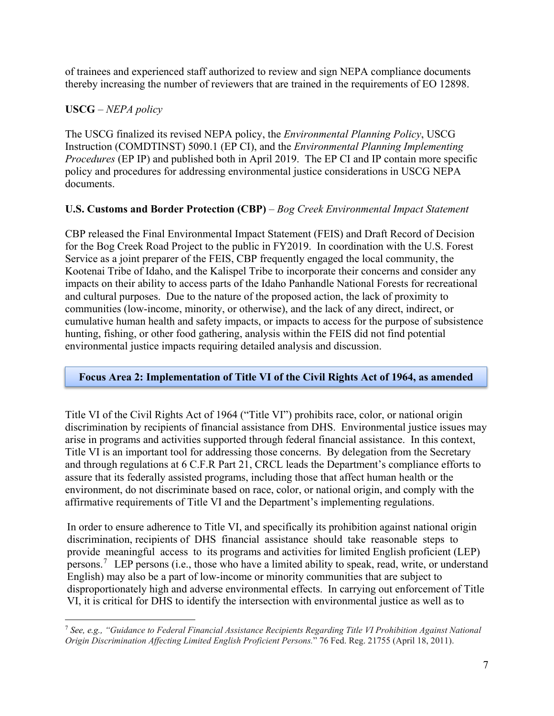of trainees and experienced staff authorized to review and sign NEPA compliance documents thereby increasing the number of reviewers that are trained in the requirements of EO 12898.

#### **USCG** – *NEPA policy*

The USCG finalized its revised NEPA policy, the *Environmental Planning Policy*, USCG Instruction (COMDTINST) 5090.1 (EP CI), and the *Environmental Planning Implementing Procedures* (EP IP) and published both in April 2019. The EP CI and IP contain more specific policy and procedures for addressing environmental justice considerations in USCG NEPA documents.

#### **U.S. Customs and Border Protection (CBP)** – *Bog Creek Environmental Impact Statement*

CBP released the Final Environmental Impact Statement (FEIS) and Draft Record of Decision for the Bog Creek Road Project to the public in FY2019. In coordination with the U.S. Forest Service as a joint preparer of the FEIS, CBP frequently engaged the local community, the Kootenai Tribe of Idaho, and the Kalispel Tribe to incorporate their concerns and consider any impacts on their ability to access parts of the Idaho Panhandle National Forests for recreational and cultural purposes. Due to the nature of the proposed action, the lack of proximity to communities (low-income, minority, or otherwise), and the lack of any direct, indirect, or cumulative human health and safety impacts, or impacts to access for the purpose of subsistence hunting, fishing, or other food gathering, analysis within the FEIS did not find potential environmental justice impacts requiring detailed analysis and discussion.

#### **Focus Area 2: Implementation of Title VI of the Civil Rights Act of 1964, as amended**

Title VI of the Civil Rights Act of 1964 ("Title VI") prohibits race, color, or national origin discrimination by recipients of financial assistance from DHS. Environmental justice issues may arise in programs and activities supported through federal financial assistance. In this context, Title VI is an important tool for addressing those concerns. By delegation from the Secretary and through regulations at 6 C.F.R Part 21, CRCL leads the Department's compliance efforts to assure that its federally assisted programs, including those that affect human health or the environment, do not discriminate based on race, color, or national origin, and comply with the affirmative requirements of Title VI and the Department's implementing regulations.

In order to ensure adherence to Title VI, and specifically its prohibition against national origin discrimination, recipients of DHS financial assistance should take reasonable steps to provide meaningful access to its programs and activities for limited English proficient (LEP) persons.<sup>[7](#page-6-0)</sup> LEP persons (i.e., those who have a limited ability to speak, read, write, or understand English) may also be a part of low-income or minority communities that are subject to disproportionately high and adverse environmental effects. In carrying out enforcement of Title VI, it is critical for DHS to identify the intersection with environmental justice as well as to

<span id="page-6-0"></span> $\overline{a}$ <sup>7</sup> *See, e.g., "Guidance to Federal Financial Assistance Recipients Regarding Title VI Prohibition Against National Origin Discrimination Affecting Limited English Proficient Persons.*" 76 Fed. Reg. 21755 (April 18, 2011).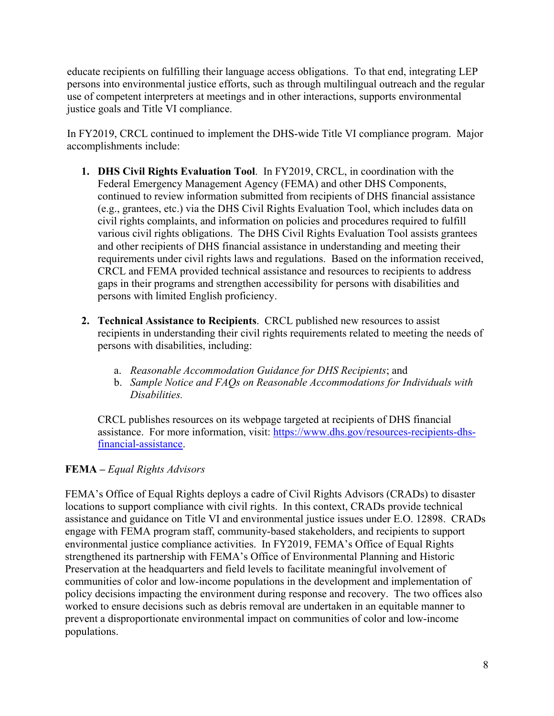educate recipients on fulfilling their language access obligations. To that end, integrating LEP persons into environmental justice efforts, such as through multilingual outreach and the regular use of competent interpreters at meetings and in other interactions, supports environmental justice goals and Title VI compliance.

In FY2019, CRCL continued to implement the DHS-wide Title VI compliance program. Major accomplishments include:

- **1. DHS Civil Rights Evaluation Tool**. In FY2019, CRCL, in coordination with the Federal Emergency Management Agency (FEMA) and other DHS Components, continued to review information submitted from recipients of DHS financial assistance (e.g., grantees, etc.) via the DHS Civil Rights Evaluation Tool, which includes data on civil rights complaints, and information on policies and procedures required to fulfill various civil rights obligations. The DHS Civil Rights Evaluation Tool assists grantees and other recipients of DHS financial assistance in understanding and meeting their requirements under civil rights laws and regulations. Based on the information received, CRCL and FEMA provided technical assistance and resources to recipients to address gaps in their programs and strengthen accessibility for persons with disabilities and persons with limited English proficiency.
- **2. Technical Assistance to Recipients**. CRCL published new resources to assist recipients in understanding their civil rights requirements related to meeting the needs of persons with disabilities, including:
	- a. *Reasonable Accommodation Guidance for DHS Recipients*; and
	- b. *Sample Notice and FAQs on Reasonable Accommodations for Individuals with Disabilities.*

CRCL publishes resources on its webpage targeted at recipients of DHS financial assistance. For more information, visit: [https://www.dhs.gov/resources-recipients-dhs](https://www.dhs.gov/resources-recipients-dhs-financial-assistance)[financial-assistance.](https://www.dhs.gov/resources-recipients-dhs-financial-assistance)

#### **FEMA –** *Equal Rights Advisors*

FEMA's Office of Equal Rights deploys a cadre of Civil Rights Advisors (CRADs) to disaster locations to support compliance with civil rights. In this context, CRADs provide technical assistance and guidance on Title VI and environmental justice issues under E.O. 12898. CRADs engage with FEMA program staff, community-based stakeholders, and recipients to support environmental justice compliance activities. In FY2019, FEMA's Office of Equal Rights strengthened its partnership with FEMA's Office of Environmental Planning and Historic Preservation at the headquarters and field levels to facilitate meaningful involvement of communities of color and low-income populations in the development and implementation of policy decisions impacting the environment during response and recovery. The two offices also worked to ensure decisions such as debris removal are undertaken in an equitable manner to prevent a disproportionate environmental impact on communities of color and low-income populations.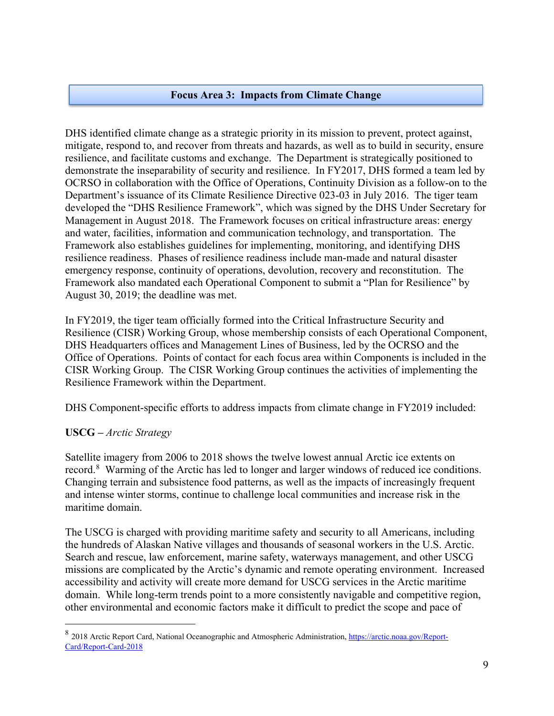#### **Focus Area 3: Impacts from Climate Change**

DHS identified climate change as a strategic priority in its mission to prevent, protect against, mitigate, respond to, and recover from threats and hazards, as well as to build in security, ensure resilience, and facilitate customs and exchange. The Department is strategically positioned to demonstrate the inseparability of security and resilience. In FY2017, DHS formed a team led by OCRSO in collaboration with the Office of Operations, Continuity Division as a follow-on to the Department's issuance of its Climate Resilience Directive 023-03 in July 2016. The tiger team developed the "DHS Resilience Framework", which was signed by the DHS Under Secretary for Management in August 2018. The Framework focuses on critical infrastructure areas: energy and water, facilities, information and communication technology, and transportation. The Framework also establishes guidelines for implementing, monitoring, and identifying DHS resilience readiness. Phases of resilience readiness include man-made and natural disaster emergency response, continuity of operations, devolution, recovery and reconstitution. The Framework also mandated each Operational Component to submit a "Plan for Resilience" by August 30, 2019; the deadline was met.

In FY2019, the tiger team officially formed into the Critical Infrastructure Security and Resilience (CISR) Working Group, whose membership consists of each Operational Component, DHS Headquarters offices and Management Lines of Business, led by the OCRSO and the Office of Operations. Points of contact for each focus area within Components is included in the CISR Working Group. The CISR Working Group continues the activities of implementing the Resilience Framework within the Department.

DHS Component-specific efforts to address impacts from climate change in FY2019 included:

#### **USCG –** *Arctic Strategy*

 $\overline{a}$ 

Satellite imagery from 2006 to 2018 shows the twelve lowest annual Arctic ice extents on record.<sup>[8](#page-8-0)</sup> Warming of the Arctic has led to longer and larger windows of reduced ice conditions. Changing terrain and subsistence food patterns, as well as the impacts of increasingly frequent and intense winter storms, continue to challenge local communities and increase risk in the maritime domain.

The USCG is charged with providing maritime safety and security to all Americans, including the hundreds of Alaskan Native villages and thousands of seasonal workers in the U.S. Arctic. Search and rescue, law enforcement, marine safety, waterways management, and other USCG missions are complicated by the Arctic's dynamic and remote operating environment. Increased accessibility and activity will create more demand for USCG services in the Arctic maritime domain. While long-term trends point to a more consistently navigable and competitive region, other environmental and economic factors make it difficult to predict the scope and pace of

<span id="page-8-0"></span><sup>8</sup> 2018 Arctic Report Card, National Oceanographic and Atmospheric Administration[, https://arctic.noaa.gov/Report-](https://arctic.noaa.gov/Report-Card/Report-Card-2018)[Card/Report-Card-2018](https://arctic.noaa.gov/Report-Card/Report-Card-2018)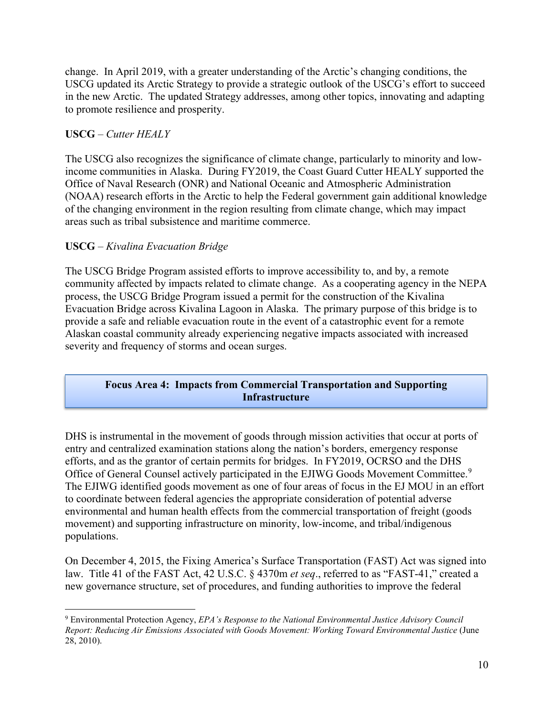change. In April 2019, with a greater understanding of the Arctic's changing conditions, the USCG updated its Arctic Strategy to provide a strategic outlook of the USCG's effort to succeed in the new Arctic. The updated Strategy addresses, among other topics, innovating and adapting to promote resilience and prosperity.

#### **USCG** – *Cutter HEALY*

The USCG also recognizes the significance of climate change, particularly to minority and lowincome communities in Alaska. During FY2019, the Coast Guard Cutter HEALY supported the Office of Naval Research (ONR) and National Oceanic and Atmospheric Administration (NOAA) research efforts in the Arctic to help the Federal government gain additional knowledge of the changing environment in the region resulting from climate change, which may impact areas such as tribal subsistence and maritime commerce.

#### **USCG** – *Kivalina Evacuation Bridge*

The USCG Bridge Program assisted efforts to improve accessibility to, and by, a remote community affected by impacts related to climate change. As a cooperating agency in the NEPA process, the USCG Bridge Program issued a permit for the construction of the Kivalina Evacuation Bridge across Kivalina Lagoon in Alaska. The primary purpose of this bridge is to provide a safe and reliable evacuation route in the event of a catastrophic event for a remote Alaskan coastal community already experiencing negative impacts associated with increased severity and frequency of storms and ocean surges.

#### **Focus Area 4: Impacts from Commercial Transportation and Supporting Infrastructure**

DHS is instrumental in the movement of goods through mission activities that occur at ports of entry and centralized examination stations along the nation's borders, emergency response efforts, and as the grantor of certain permits for bridges. In FY2019, OCRSO and the DHS Office of General Counsel actively participated in the EJIWG Goods Movement Committee.<sup>[9](#page-9-0)</sup> The EJIWG identified goods movement as one of four areas of focus in the EJ MOU in an effort to coordinate between federal agencies the appropriate consideration of potential adverse environmental and human health effects from the commercial transportation of freight (goods movement) and supporting infrastructure on minority, low-income, and tribal/indigenous populations.

On December 4, 2015, the Fixing America's Surface Transportation (FAST) Act was signed into law. Title 41 of the FAST Act, 42 U.S.C. § 4370m *et seq*., referred to as "FAST-41," created a new governance structure, set of procedures, and funding authorities to improve the federal

<span id="page-9-0"></span> $\overline{a}$ <sup>9</sup> Environmental Protection Agency, *EPA's Response to the National Environmental Justice Advisory Council Report: Reducing Air Emissions Associated with Goods Movement: Working Toward Environmental Justice* (June 28, 2010).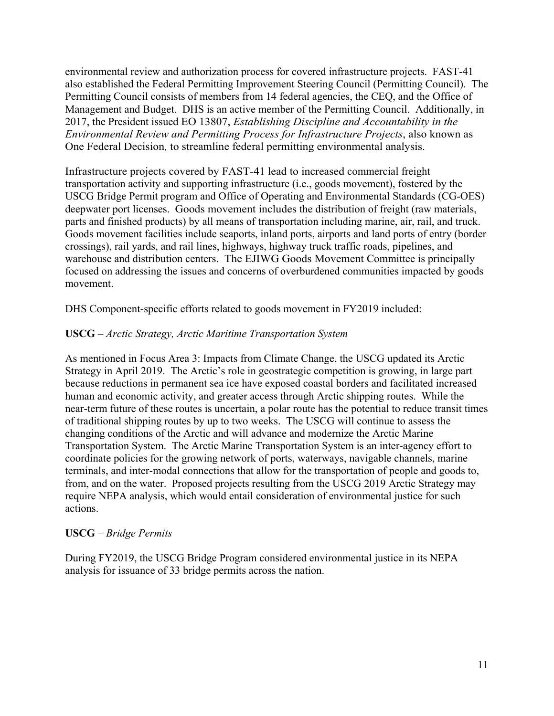environmental review and authorization process for covered infrastructure projects. FAST-41 also established the Federal Permitting Improvement Steering Council (Permitting Council). The Permitting Council consists of members from 14 federal agencies, the CEQ, and the Office of Management and Budget. DHS is an active member of the Permitting Council. Additionally, in 2017, the President issued EO 13807, *Establishing Discipline and Accountability in the Environmental Review and Permitting Process for Infrastructure Projects*, also known as One Federal Decision*,* to streamline federal permitting environmental analysis.

Infrastructure projects covered by FAST-41 lead to increased commercial freight transportation activity and supporting infrastructure (i.e., goods movement), fostered by the USCG Bridge Permit program and Office of Operating and Environmental Standards (CG-OES) deepwater port licenses. Goods movement includes the distribution of freight (raw materials, parts and finished products) by all means of transportation including marine, air, rail, and truck. Goods movement facilities include seaports, inland ports, airports and land ports of entry (border crossings), rail yards, and rail lines, highways, highway truck traffic roads, pipelines, and warehouse and distribution centers. The EJIWG Goods Movement Committee is principally focused on addressing the issues and concerns of overburdened communities impacted by goods movement.

DHS Component-specific efforts related to goods movement in FY2019 included:

#### **USCG** – *Arctic Strategy, Arctic Maritime Transportation System*

As mentioned in Focus Area 3: Impacts from Climate Change, the USCG updated its Arctic Strategy in April 2019. The Arctic's role in geostrategic competition is growing, in large part because reductions in permanent sea ice have exposed coastal borders and facilitated increased human and economic activity, and greater access through Arctic shipping routes. While the near-term future of these routes is uncertain, a polar route has the potential to reduce transit times of traditional shipping routes by up to two weeks. The USCG will continue to assess the changing conditions of the Arctic and will advance and modernize the Arctic Marine Transportation System. The Arctic Marine Transportation System is an inter-agency effort to coordinate policies for the growing network of ports, waterways, navigable channels, marine terminals, and inter-modal connections that allow for the transportation of people and goods to, from, and on the water. Proposed projects resulting from the USCG 2019 Arctic Strategy may require NEPA analysis, which would entail consideration of environmental justice for such actions.

#### **USCG** – *Bridge Permits*

During FY2019, the USCG Bridge Program considered environmental justice in its NEPA analysis for issuance of 33 bridge permits across the nation.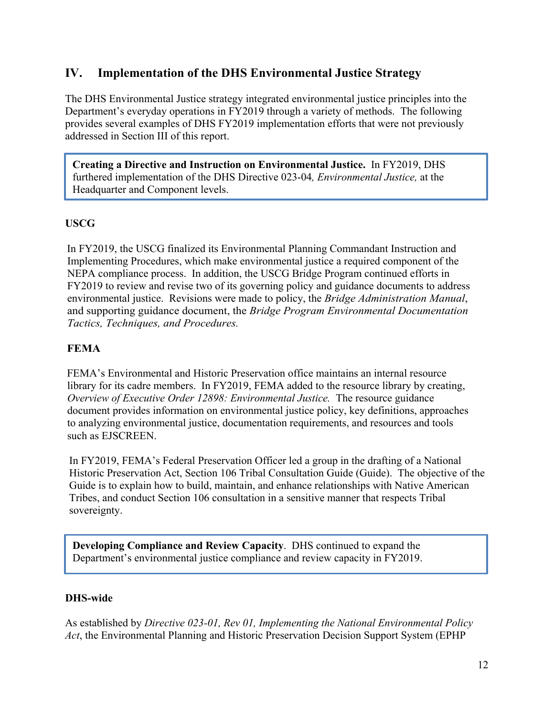### <span id="page-11-0"></span>**IV. Implementation of the DHS Environmental Justice Strategy**

The DHS Environmental Justice strategy integrated environmental justice principles into the Department's everyday operations in FY2019 through a variety of methods. The following provides several examples of DHS FY2019 implementation efforts that were not previously addressed in Section III of this report.

**Creating a Directive and Instruction on Environmental Justice.** In FY2019, DHS furthered implementation of the DHS Directive 023-04*, Environmental Justice,* at the Headquarter and Component levels.

#### **USCG**

In FY2019, the USCG finalized its Environmental Planning Commandant Instruction and Implementing Procedures, which make environmental justice a required component of the NEPA compliance process. In addition, the USCG Bridge Program continued efforts in FY2019 to review and revise two of its governing policy and guidance documents to address environmental justice. Revisions were made to policy, the *Bridge Administration Manual*, and supporting guidance document, the *Bridge Program Environmental Documentation Tactics, Techniques, and Procedures.*

#### **FEMA**

FEMA's Environmental and Historic Preservation office maintains an internal resource library for its cadre members. In FY2019, FEMA added to the resource library by creating, *Overview of Executive Order 12898: Environmental Justice.* The resource guidance document provides information on environmental justice policy, key definitions, approaches to analyzing environmental justice, documentation requirements, and resources and tools such as EJSCREEN.

In FY2019, FEMA's Federal Preservation Officer led a group in the drafting of a National Historic Preservation Act, Section 106 Tribal Consultation Guide (Guide). The objective of the Guide is to explain how to build, maintain, and enhance relationships with Native American Tribes, and conduct Section 106 consultation in a sensitive manner that respects Tribal sovereignty.

**Developing Compliance and Review Capacity**. DHS continued to expand the Department's environmental justice compliance and review capacity in FY2019.

#### **DHS-wide**

As established by *Directive 023-01, Rev 01, Implementing the National Environmental Policy Act*, the Environmental Planning and Historic Preservation Decision Support System (EPHP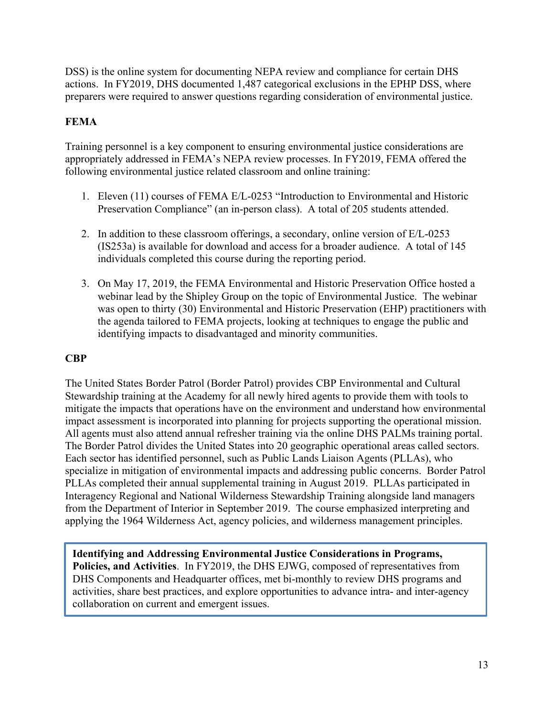DSS) is the online system for documenting NEPA review and compliance for certain DHS actions. In FY2019, DHS documented 1,487 categorical exclusions in the EPHP DSS, where preparers were required to answer questions regarding consideration of environmental justice.

#### **FEMA**

Training personnel is a key component to ensuring environmental justice considerations are appropriately addressed in FEMA's NEPA review processes. In FY2019, FEMA offered the following environmental justice related classroom and online training:

- 1. Eleven (11) courses of FEMA E/L-0253 "Introduction to Environmental and Historic Preservation Compliance" (an in-person class). A total of 205 students attended.
- 2. In addition to these classroom offerings, a secondary, online version of E/L-0253 (IS253a) is available for download and access for a broader audience. A total of 145 individuals completed this course during the reporting period.
- 3. On May 17, 2019, the FEMA Environmental and Historic Preservation Office hosted a webinar lead by the Shipley Group on the topic of Environmental Justice. The webinar was open to thirty (30) Environmental and Historic Preservation (EHP) practitioners with the agenda tailored to FEMA projects, looking at techniques to engage the public and identifying impacts to disadvantaged and minority communities.

#### **CBP**

The United States Border Patrol (Border Patrol) provides CBP Environmental and Cultural Stewardship training at the Academy for all newly hired agents to provide them with tools to mitigate the impacts that operations have on the environment and understand how environmental impact assessment is incorporated into planning for projects supporting the operational mission. All agents must also attend annual refresher training via the online DHS PALMs training portal. The Border Patrol divides the United States into 20 geographic operational areas called sectors. Each sector has identified personnel, such as Public Lands Liaison Agents (PLLAs), who specialize in mitigation of environmental impacts and addressing public concerns. Border Patrol PLLAs completed their annual supplemental training in August 2019. PLLAs participated in Interagency Regional and National Wilderness Stewardship Training alongside land managers from the Department of Interior in September 2019. The course emphasized interpreting and applying the 1964 Wilderness Act, agency policies, and wilderness management principles.

**Identifying and Addressing Environmental Justice Considerations in Programs, Policies, and Activities**. In FY2019, the DHS EJWG, composed of representatives from DHS Components and Headquarter offices, met bi-monthly to review DHS programs and activities, share best practices, and explore opportunities to advance intra- and inter-agency collaboration on current and emergent issues.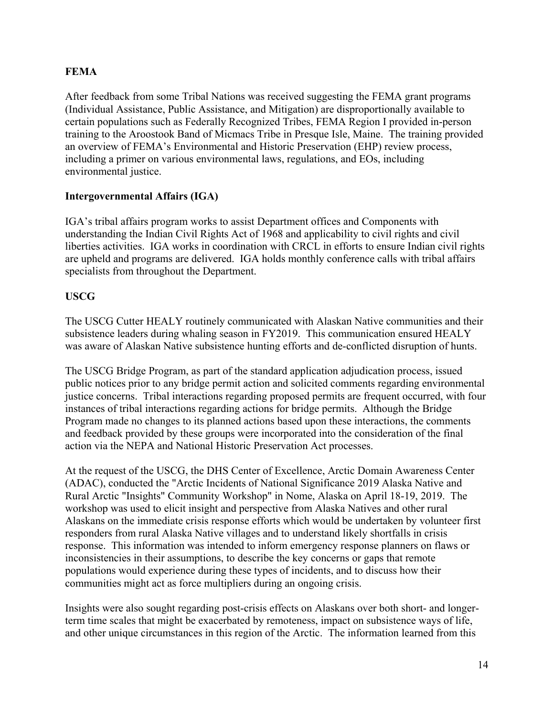#### **FEMA**

After feedback from some Tribal Nations was received suggesting the FEMA grant programs (Individual Assistance, Public Assistance, and Mitigation) are disproportionally available to certain populations such as Federally Recognized Tribes, FEMA Region I provided in-person training to the Aroostook Band of Micmacs Tribe in Presque Isle, Maine. The training provided an overview of FEMA's Environmental and Historic Preservation (EHP) review process, including a primer on various environmental laws, regulations, and EOs, including environmental justice.

#### **Intergovernmental Affairs (IGA)**

IGA's tribal affairs program works to assist Department offices and Components with understanding the Indian Civil Rights Act of 1968 and applicability to civil rights and civil liberties activities. IGA works in coordination with CRCL in efforts to ensure Indian civil rights are upheld and programs are delivered. IGA holds monthly conference calls with tribal affairs specialists from throughout the Department.

#### **USCG**

The USCG Cutter HEALY routinely communicated with Alaskan Native communities and their subsistence leaders during whaling season in FY2019. This communication ensured HEALY was aware of Alaskan Native subsistence hunting efforts and de-conflicted disruption of hunts.

The USCG Bridge Program, as part of the standard application adjudication process, issued public notices prior to any bridge permit action and solicited comments regarding environmental justice concerns. Tribal interactions regarding proposed permits are frequent occurred, with four instances of tribal interactions regarding actions for bridge permits. Although the Bridge Program made no changes to its planned actions based upon these interactions, the comments and feedback provided by these groups were incorporated into the consideration of the final action via the NEPA and National Historic Preservation Act processes.

At the request of the USCG, the DHS Center of Excellence, Arctic Domain Awareness Center (ADAC), conducted the "Arctic Incidents of National Significance 2019 Alaska Native and Rural Arctic "Insights" Community Workshop" in Nome, Alaska on April 18-19, 2019. The workshop was used to elicit insight and perspective from Alaska Natives and other rural Alaskans on the immediate crisis response efforts which would be undertaken by volunteer first responders from rural Alaska Native villages and to understand likely shortfalls in crisis response. This information was intended to inform emergency response planners on flaws or inconsistencies in their assumptions, to describe the key concerns or gaps that remote populations would experience during these types of incidents, and to discuss how their communities might act as force multipliers during an ongoing crisis.

Insights were also sought regarding post-crisis effects on Alaskans over both short- and longerterm time scales that might be exacerbated by remoteness, impact on subsistence ways of life, and other unique circumstances in this region of the Arctic. The information learned from this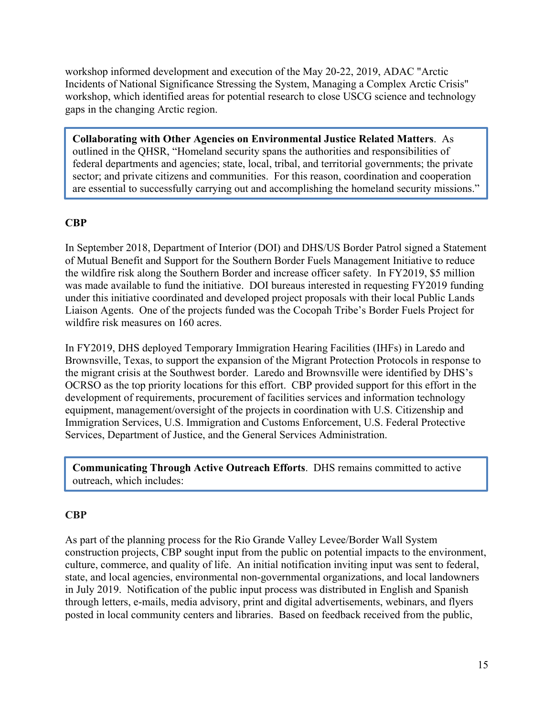workshop informed development and execution of the May 20-22, 2019, ADAC "Arctic Incidents of National Significance Stressing the System, Managing a Complex Arctic Crisis" workshop, which identified areas for potential research to close USCG science and technology gaps in the changing Arctic region.

**Collaborating with Other Agencies on Environmental Justice Related Matters**. As outlined in the QHSR, "Homeland security spans the authorities and responsibilities of federal departments and agencies; state, local, tribal, and territorial governments; the private sector; and private citizens and communities. For this reason, coordination and cooperation are essential to successfully carrying out and accomplishing the homeland security missions."

#### **CBP**

In September 2018, Department of Interior (DOI) and DHS/US Border Patrol signed a Statement of Mutual Benefit and Support for the Southern Border Fuels Management Initiative to reduce the wildfire risk along the Southern Border and increase officer safety. In FY2019, \$5 million was made available to fund the initiative. DOI bureaus interested in requesting FY2019 funding under this initiative coordinated and developed project proposals with their local Public Lands Liaison Agents. One of the projects funded was the Cocopah Tribe's Border Fuels Project for wildfire risk measures on 160 acres.

In FY2019, DHS deployed Temporary Immigration Hearing Facilities (IHFs) in Laredo and Brownsville, Texas, to support the expansion of the Migrant Protection Protocols in response to the migrant crisis at the Southwest border. Laredo and Brownsville were identified by DHS's OCRSO as the top priority locations for this effort. CBP provided support for this effort in the development of requirements, procurement of facilities services and information technology equipment, management/oversight of the projects in coordination with U.S. Citizenship and Immigration Services, U.S. Immigration and Customs Enforcement, U.S. Federal Protective Services, Department of Justice, and the General Services Administration.

**Communicating Through Active Outreach Efforts**. DHS remains committed to active outreach, which includes:

#### **CBP**

As part of the planning process for the Rio Grande Valley Levee/Border Wall System construction projects, CBP sought input from the public on potential impacts to the environment, culture, commerce, and quality of life. An initial notification inviting input was sent to federal, state, and local agencies, environmental non-governmental organizations, and local landowners in July 2019. Notification of the public input process was distributed in English and Spanish through letters, e-mails, media advisory, print and digital advertisements, webinars, and flyers posted in local community centers and libraries. Based on feedback received from the public,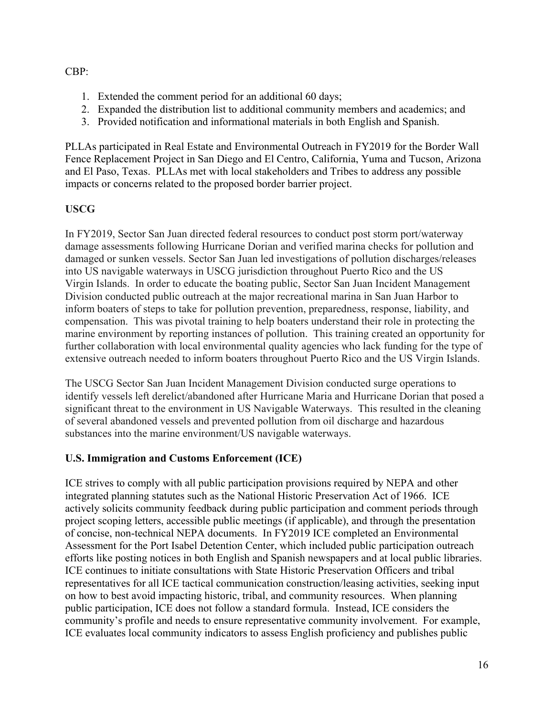#### CBP:

- 1. Extended the comment period for an additional 60 days;
- 2. Expanded the distribution list to additional community members and academics; and
- 3. Provided notification and informational materials in both English and Spanish.

PLLAs participated in Real Estate and Environmental Outreach in FY2019 for the Border Wall Fence Replacement Project in San Diego and El Centro, California, Yuma and Tucson, Arizona and El Paso, Texas. PLLAs met with local stakeholders and Tribes to address any possible impacts or concerns related to the proposed border barrier project.

#### **USCG**

In FY2019, Sector San Juan directed federal resources to conduct post storm port/waterway damage assessments following Hurricane Dorian and verified marina checks for pollution and damaged or sunken vessels. Sector San Juan led investigations of pollution discharges/releases into US navigable waterways in USCG jurisdiction throughout Puerto Rico and the US Virgin Islands. In order to educate the boating public, Sector San Juan Incident Management Division conducted public outreach at the major recreational marina in San Juan Harbor to inform boaters of steps to take for pollution prevention, preparedness, response, liability, and compensation. This was pivotal training to help boaters understand their role in protecting the marine environment by reporting instances of pollution. This training created an opportunity for further collaboration with local environmental quality agencies who lack funding for the type of extensive outreach needed to inform boaters throughout Puerto Rico and the US Virgin Islands.

The USCG Sector San Juan Incident Management Division conducted surge operations to identify vessels left derelict/abandoned after Hurricane Maria and Hurricane Dorian that posed a significant threat to the environment in US Navigable Waterways. This resulted in the cleaning of several abandoned vessels and prevented pollution from oil discharge and hazardous substances into the marine environment/US navigable waterways.

#### **U.S. Immigration and Customs Enforcement (ICE)**

ICE strives to comply with all public participation provisions required by NEPA and other integrated planning statutes such as the National Historic Preservation Act of 1966. ICE actively solicits community feedback during public participation and comment periods through project scoping letters, accessible public meetings (if applicable), and through the presentation of concise, non-technical NEPA documents. In FY2019 ICE completed an Environmental Assessment for the Port Isabel Detention Center, which included public participation outreach efforts like posting notices in both English and Spanish newspapers and at local public libraries. ICE continues to initiate consultations with State Historic Preservation Officers and tribal representatives for all ICE tactical communication construction/leasing activities, seeking input on how to best avoid impacting historic, tribal, and community resources. When planning public participation, ICE does not follow a standard formula. Instead, ICE considers the community's profile and needs to ensure representative community involvement. For example, ICE evaluates local community indicators to assess English proficiency and publishes public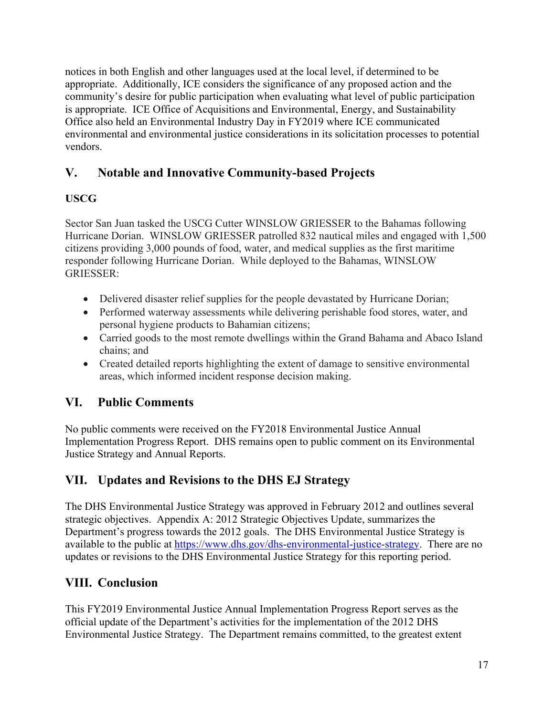notices in both English and other languages used at the local level, if determined to be appropriate. Additionally, ICE considers the significance of any proposed action and the community's desire for public participation when evaluating what level of public participation is appropriate. ICE Office of Acquisitions and Environmental, Energy, and Sustainability Office also held an Environmental Industry Day in FY2019 where ICE communicated environmental and environmental justice considerations in its solicitation processes to potential vendors.

## <span id="page-16-0"></span>**V. Notable and Innovative Community-based Projects**

### **USCG**

Sector San Juan tasked the USCG Cutter WINSLOW GRIESSER to the Bahamas following Hurricane Dorian. WINSLOW GRIESSER patrolled 832 nautical miles and engaged with 1,500 citizens providing 3,000 pounds of food, water, and medical supplies as the first maritime responder following Hurricane Dorian. While deployed to the Bahamas, WINSLOW GRIESSER:

- Delivered disaster relief supplies for the people devastated by Hurricane Dorian;
- Performed waterway assessments while delivering perishable food stores, water, and personal hygiene products to Bahamian citizens;
- Carried goods to the most remote dwellings within the Grand Bahama and Abaco Island chains; and
- Created detailed reports highlighting the extent of damage to sensitive environmental areas, which informed incident response decision making.

## <span id="page-16-1"></span>**VI. Public Comments**

No public comments were received on the FY2018 Environmental Justice Annual Implementation Progress Report. DHS remains open to public comment on its Environmental Justice Strategy and Annual Reports.

## <span id="page-16-2"></span>**VII. Updates and Revisions to the DHS EJ Strategy**

The DHS Environmental Justice Strategy was approved in February 2012 and outlines several strategic objectives. Appendix A: 2012 Strategic Objectives Update, summarizes the Department's progress towards the 2012 goals. The DHS Environmental Justice Strategy is available to the public at [https://www.dhs.gov/dhs-environmental-justice-strategy.](https://www.dhs.gov/dhs-environmental-justice-strategy) There are no updates or revisions to the DHS Environmental Justice Strategy for this reporting period.

## <span id="page-16-3"></span>**VIII. Conclusion**

This FY2019 Environmental Justice Annual Implementation Progress Report serves as the official update of the Department's activities for the implementation of the 2012 DHS Environmental Justice Strategy. The Department remains committed, to the greatest extent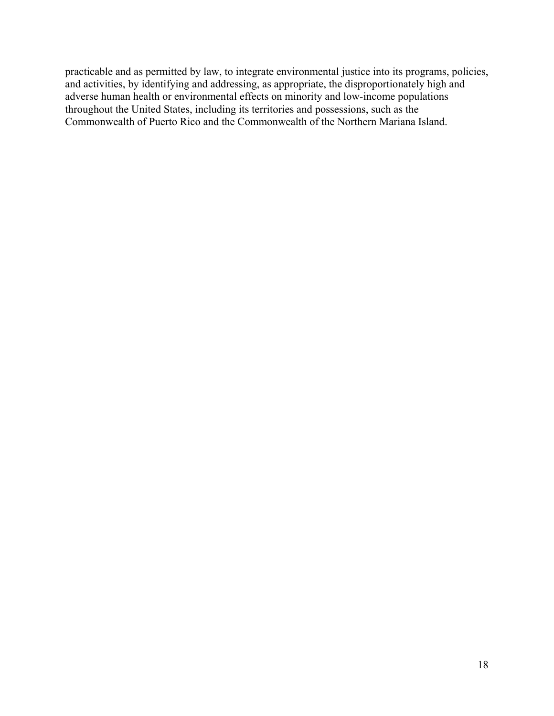practicable and as permitted by law, to integrate environmental justice into its programs, policies, and activities, by identifying and addressing, as appropriate, the disproportionately high and adverse human health or environmental effects on minority and low-income populations throughout the United States, including its territories and possessions, such as the Commonwealth of Puerto Rico and the Commonwealth of the Northern Mariana Island.